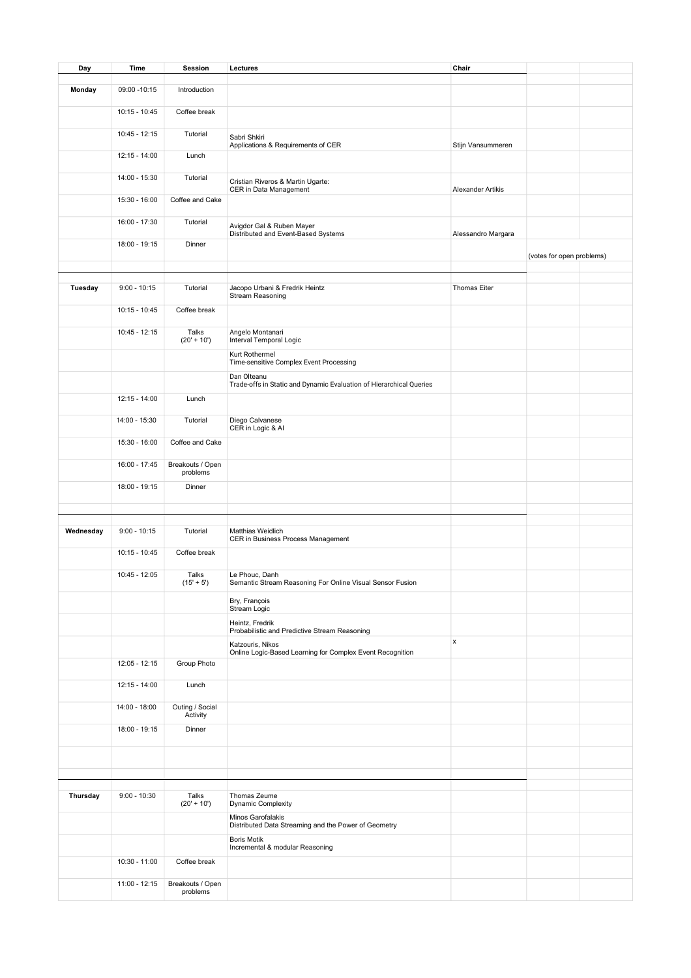| Day       | Time            | Session                      | Lectures                                                                           | Chair              |                           |  |
|-----------|-----------------|------------------------------|------------------------------------------------------------------------------------|--------------------|---------------------------|--|
|           |                 |                              |                                                                                    |                    |                           |  |
| Monday    | 09:00 - 10:15   | Introduction                 |                                                                                    |                    |                           |  |
|           | $10:15 - 10:45$ | Coffee break                 |                                                                                    |                    |                           |  |
|           | $10:45 - 12:15$ | Tutorial                     | Sabri Shkiri<br>Applications & Requirements of CER                                 | Stijn Vansummeren  |                           |  |
|           | 12:15 - 14:00   | Lunch                        |                                                                                    |                    |                           |  |
|           | 14:00 - 15:30   | Tutorial                     | Cristian Riveros & Martin Ugarte:<br>CER in Data Management                        | Alexander Artikis  |                           |  |
|           | 15:30 - 16:00   | Coffee and Cake              |                                                                                    |                    |                           |  |
|           | 16:00 - 17:30   | Tutorial                     | Avigdor Gal & Ruben Mayer<br>Distributed and Event-Based Systems                   | Alessandro Margara |                           |  |
|           | 18:00 - 19:15   | Dinner                       |                                                                                    |                    | (votes for open problems) |  |
|           |                 |                              |                                                                                    |                    |                           |  |
| Tuesday   | $9:00 - 10:15$  | Tutorial                     | Jacopo Urbani & Fredrik Heintz<br>Stream Reasoning                                 | Thomas Eiter       |                           |  |
|           | $10:15 - 10:45$ | Coffee break                 |                                                                                    |                    |                           |  |
|           | $10:45 - 12:15$ | Talks<br>$(20' + 10')$       | Angelo Montanari<br>Interval Temporal Logic                                        |                    |                           |  |
|           |                 |                              | Kurt Rothermel<br>Time-sensitive Complex Event Processing                          |                    |                           |  |
|           |                 |                              | Dan Olteanu<br>Trade-offs in Static and Dynamic Evaluation of Hierarchical Queries |                    |                           |  |
|           | 12:15 - 14:00   | Lunch                        |                                                                                    |                    |                           |  |
|           | 14:00 - 15:30   | Tutorial                     | Diego Calvanese<br>CER in Logic & Al                                               |                    |                           |  |
|           | 15:30 - 16:00   | Coffee and Cake              |                                                                                    |                    |                           |  |
|           | 16:00 - 17:45   | Breakouts / Open<br>problems |                                                                                    |                    |                           |  |
|           | 18:00 - 19:15   | Dinner                       |                                                                                    |                    |                           |  |
|           |                 |                              |                                                                                    |                    |                           |  |
| Wednesday | $9:00 - 10:15$  | Tutorial                     | Matthias Weidlich                                                                  |                    |                           |  |
|           |                 |                              | CER in Business Process Management                                                 |                    |                           |  |
|           | $10:15 - 10:45$ | Coffee break                 |                                                                                    |                    |                           |  |
|           | 10:45 - 12:05   | Talks<br>$(15' + 5')$        | Le Phouc, Danh<br>Semantic Stream Reasoning For Online Visual Sensor Fusion        |                    |                           |  |
|           |                 |                              | Bry, François<br>Stream Logic                                                      |                    |                           |  |
|           |                 |                              | Heintz, Fredrik<br>Probabilistic and Predictive Stream Reasoning                   |                    |                           |  |
|           |                 |                              | Katzouris, Nikos<br>Online Logic-Based Learning for Complex Event Recognition      | x                  |                           |  |
|           | $12:05 - 12:15$ | Group Photo                  |                                                                                    |                    |                           |  |
|           | 12:15 - 14:00   | Lunch                        |                                                                                    |                    |                           |  |
|           | 14:00 - 18:00   | Outing / Social<br>Activity  |                                                                                    |                    |                           |  |
|           | 18:00 - 19:15   | Dinner                       |                                                                                    |                    |                           |  |
|           |                 |                              |                                                                                    |                    |                           |  |
|           |                 |                              |                                                                                    |                    |                           |  |
| Thursday  | $9:00 - 10:30$  | Talks<br>$(20' + 10')$       | Thomas Zeume<br>Dynamic Complexity                                                 |                    |                           |  |
|           |                 |                              | Minos Garofalakis<br>Distributed Data Streaming and the Power of Geometry          |                    |                           |  |
|           |                 |                              | <b>Boris Motik</b><br>Incremental & modular Reasoning                              |                    |                           |  |
|           | 10:30 - 11:00   | Coffee break                 |                                                                                    |                    |                           |  |
|           | 11:00 - 12:15   | Breakouts / Open<br>problems |                                                                                    |                    |                           |  |
|           |                 |                              |                                                                                    |                    |                           |  |